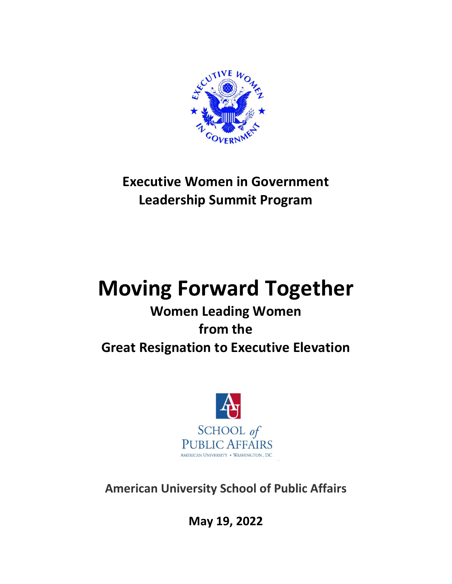

# **Executive Women in Government Leadership Summit Program**

# **Moving Forward Together**

## **Women Leading Women from the Great Resignation to Executive Elevation**



**American University School of Public Affairs**

**May 19, 2022**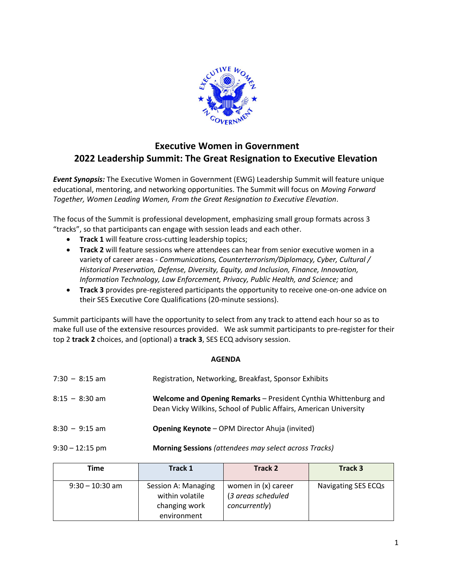

### **Executive Women in Government 2022 Leadership Summit: The Great Resignation to Executive Elevation**

*Event Synopsis:* The Executive Women in Government (EWG) Leadership Summit will feature unique educational, mentoring, and networking opportunities. The Summit will focus on *Moving Forward Together, Women Leading Women, From the Great Resignation to Executive Elevation*.

The focus of the Summit is professional development, emphasizing small group formats across 3 "tracks", so that participants can engage with session leads and each other.

- **Track 1** will feature cross-cutting leadership topics;
- **Track 2** will feature sessions where attendees can hear from senior executive women in a variety of career areas - *Communications, Counterterrorism/Diplomacy, Cyber, Cultural / Historical Preservation, Defense, Diversity, Equity, and Inclusion, Finance, Innovation, Information Technology, Law Enforcement, Privacy, Public Health, and Science;* and
- **Track 3** provides pre-registered participants the opportunity to receive one-on-one advice on their SES Executive Core Qualifications (20-minute sessions).

Summit participants will have the opportunity to select from any track to attend each hour so as to make full use of the extensive resources provided. We ask summit participants to pre-register for their top 2 **track 2** choices, and (optional) a **track 3**, SES ECQ advisory session.

### **AGENDA**

| $7:30 - 8:15$ am  | Registration, Networking, Breakfast, Sponsor Exhibits                                                                                |
|-------------------|--------------------------------------------------------------------------------------------------------------------------------------|
| $8:15 - 8:30$ am  | Welcome and Opening Remarks - President Cynthia Whittenburg and<br>Dean Vicky Wilkins, School of Public Affairs, American University |
| $8:30 - 9:15$ am  | <b>Opening Keynote</b> - OPM Director Ahuja (invited)                                                                                |
| $9:30 - 12:15$ pm | <b>Morning Sessions</b> (attendees may select across Tracks)                                                                         |

| Time              | Track 1                                                                | Track 2                                                    | Track 3             |
|-------------------|------------------------------------------------------------------------|------------------------------------------------------------|---------------------|
| $9:30 - 10:30$ am | Session A: Managing<br>within volatile<br>changing work<br>environment | women in (x) career<br>(3 areas scheduled<br>concurrently) | Navigating SES ECQs |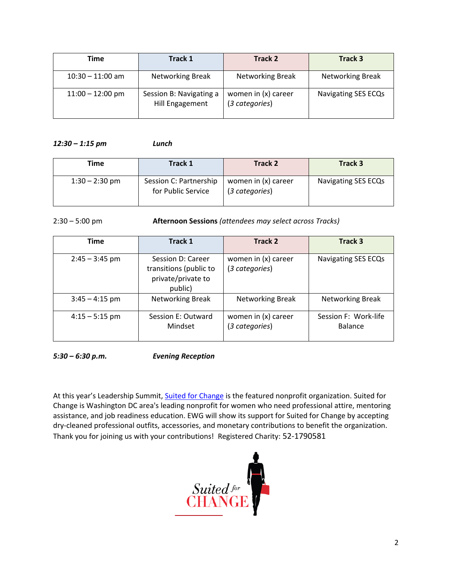| Time               | Track 1                                    | Track 2                               | Track 3                 |
|--------------------|--------------------------------------------|---------------------------------------|-------------------------|
| $10:30 - 11:00$ am | <b>Networking Break</b>                    | <b>Networking Break</b>               | <b>Networking Break</b> |
| $11:00 - 12:00$ pm | Session B: Navigating a<br>Hill Engagement | women in (x) career<br>(3 categories) | Navigating SES ECQs     |

#### *12:30 – 1:15 pm Lunch*

| Time             | <b>Track 1</b>                               | <b>Track 2</b>                        | <b>Track 3</b>      |
|------------------|----------------------------------------------|---------------------------------------|---------------------|
| $1:30 - 2:30$ pm | Session C: Partnership<br>for Public Service | women in (x) career<br>(3 categories) | Navigating SES ECQs |

2:30 – 5:00 pm **Afternoon Sessions** *(attendees may select across Tracks)*

| <b>Time</b>      | Track 1                                                                      | Track 2                               | Track 3                                |
|------------------|------------------------------------------------------------------------------|---------------------------------------|----------------------------------------|
| $2:45 - 3:45$ pm | Session D: Career<br>transitions (public to<br>private/private to<br>public) | women in (x) career<br>(3 categories) | Navigating SES ECQs                    |
| $3:45 - 4:15$ pm | <b>Networking Break</b>                                                      | Networking Break                      | <b>Networking Break</b>                |
| $4:15 - 5:15$ pm | Session E: Outward<br>Mindset                                                | women in (x) career<br>(3 categories) | Session F: Work-life<br><b>Balance</b> |

*5:30 – 6:30 p.m. Evening Reception*

At this year's Leadership Summit, [Suited for Change](https://www.suitedforchange.org/) is the featured nonprofit organization. Suited for Change is Washington DC area's leading nonprofit for women who need professional attire, mentoring assistance, and job readiness education. EWG will show its support for Suited for Change by accepting dry-cleaned professional outfits, accessories, and monetary contributions to benefit the organization. Thank you for joining us with your contributions! Registered Charity: 52-1790581

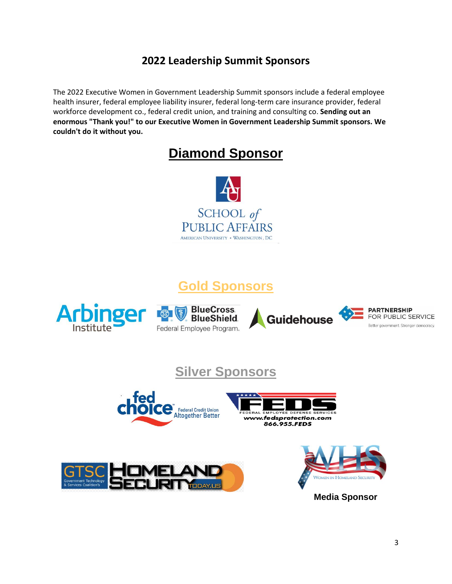### **2022 Leadership Summit Sponsors**

The 2022 Executive Women in Government Leadership Summit sponsors include a federal employee health insurer, federal employee liability insurer, federal long-term care insurance provider, federal workforce development co., federal credit union, and training and consulting co. **Sending out an enormous "Thank you!" to our Executive Women in Government Leadership Summit sponsors. We couldn't do it without you.**

### **Diamond Sponsor**



### **Gold Sponsors**







![](_page_3_Picture_8.jpeg)

### **Silver Sponsors**

![](_page_3_Picture_10.jpeg)

![](_page_3_Picture_11.jpeg)

![](_page_3_Picture_12.jpeg)